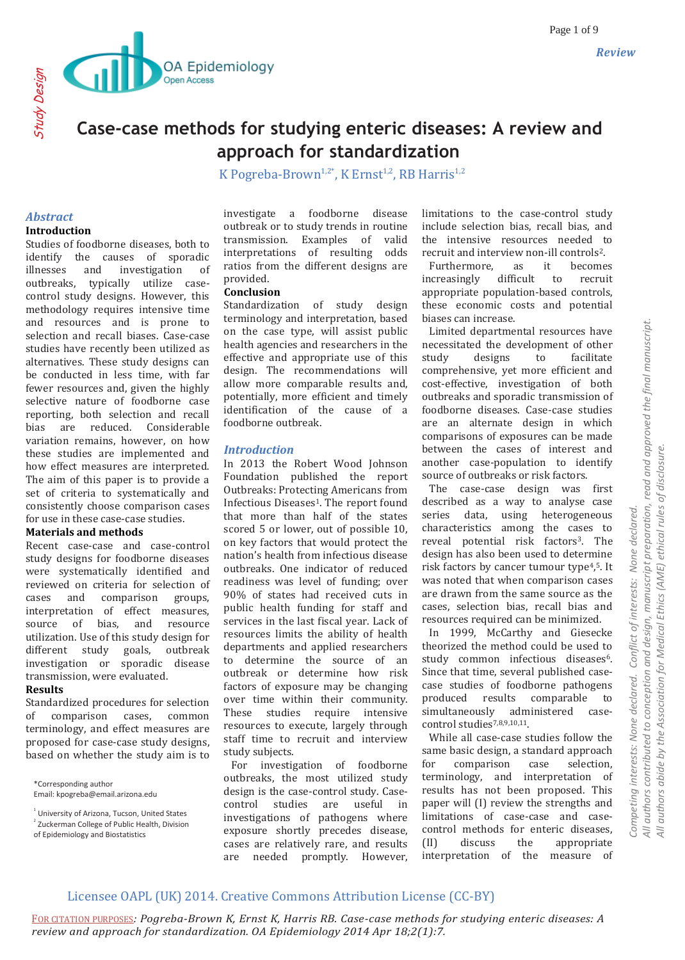

Study Design

# **Case-case methods for studying enteric diseases: A review and approach for standardization**

K Pogreba-Brown<sup>1,2\*</sup>, K Ernst<sup>1,2</sup>, RB Harris<sup>1,2</sup>

### *Abstract* **Introduction**

Studies of foodborne diseases, both to identify the causes of sporadic illnesses and investigation of outbreaks, typically utilize casecontrol study designs. However, this methodology requires intensive time and resources and is prone to selection and recall biases. Case-case studies have recently been utilized as alternatives. These study designs can be conducted in less time, with far fewer resources and, given the highly selective nature of foodborne case reporting, both selection and recall bias are reduced. Considerable variation remains, however, on how these studies are implemented and how effect measures are interpreted. The aim of this paper is to provide a set of criteria to systematically and consistently choose comparison cases for use in these case-case studies.

### **Materials and methods**

Recent case-case and case-control study designs for foodborne diseases were systematically identified and reviewed on criteria for selection of cases and comparison groups, interpretation of effect measures, source of bias, and resource utilization. Use of this study design for different study goals, outbreak investigation or sporadic disease transmission, were evaluated.

#### **Results**

Standardized procedures for selection of comparison cases, common terminology, and effect measures are proposed for case-case study designs, based on whether the study aim is to

\*Corresponding author

investigate a foodborne disease outbreak or to study trends in routine transmission. Examples of valid interpretations of resulting odds ratios from the different designs are provided.

#### **Conclusion**

Standardization of study design terminology and interpretation, based on the case type, will assist public health agencies and researchers in the effective and appropriate use of this design. The recommendations will allow more comparable results and, potentially, more efficient and timely identification of the cause of a foodborne outbreak.

#### *Introduction*

In 2013 the Robert Wood Johnson Foundation published the report Outbreaks: Protecting Americans from Infectious Diseases<sup>1</sup>. The report found that more than half of the states scored 5 or lower, out of possible 10, on key factors that would protect the nation's health from infectious disease outbreaks. One indicator of reduced readiness was level of funding; over 90% of states had received cuts in public health funding for staff and services in the last fiscal year. Lack of resources limits the ability of health departments and applied researchers to determine the source of an outbreak or determine how risk factors of exposure may be changing over time within their community. These studies require intensive resources to execute, largely through staff time to recruit and interview study subjects.

 For investigation of foodborne outbreaks, the most utilized study design is the case-control study. Casecontrol studies are useful in investigations of pathogens where exposure shortly precedes disease, cases are relatively rare, and results are needed promptly. However, limitations to the case-control study include selection bias, recall bias, and the intensive resources needed to recruit and interview non-ill controls2.

 Furthermore, as it becomes increasingly difficult to recruit appropriate population-based controls, these economic costs and potential biases can increase.

 Limited departmental resources have necessitated the development of other study designs to facilitate comprehensive, yet more efficient and cost-effective, investigation of both outbreaks and sporadic transmission of foodborne diseases. Case-case studies are an alternate design in which comparisons of exposures can be made between the cases of interest and another case-population to identify source of outbreaks or risk factors.

 The case-case design was first described as a way to analyse case series data, using heterogeneous characteristics among the cases to reveal potential risk factors<sup>3</sup>. The design has also been used to determine risk factors by cancer tumour type4, <sup>5</sup>. It was noted that when comparison cases are drawn from the same source as the cases, selection bias, recall bias and resources required can be minimized.

 In 1999, McCarthy and Giesecke theorized the method could be used to study common infectious diseases<sup>6</sup>. Since that time, several published casecase studies of foodborne pathogens produced results comparable to simultaneously administered casecontrol studies<sup>7,8,9,10,11</sup>.

 While all case-case studies follow the same basic design, a standard approach for comparison case selection, terminology, and interpretation of results has not been proposed. This paper will (I) review the strengths and limitations of case-case and casecontrol methods for enteric diseases, (II) discuss the appropriate interpretation of the measure of

# Licensee OAPL (UK) 2014. Creative Commons Attribution License (CC-BY)

Email: kpogreba@email.arizona.edu

 $^{1}$  University of Arizona, Tucson, United States

<sup>&</sup>lt;sup>2</sup> Zuckerman College of Public Health, Division

of Epidemiology and Biostatistics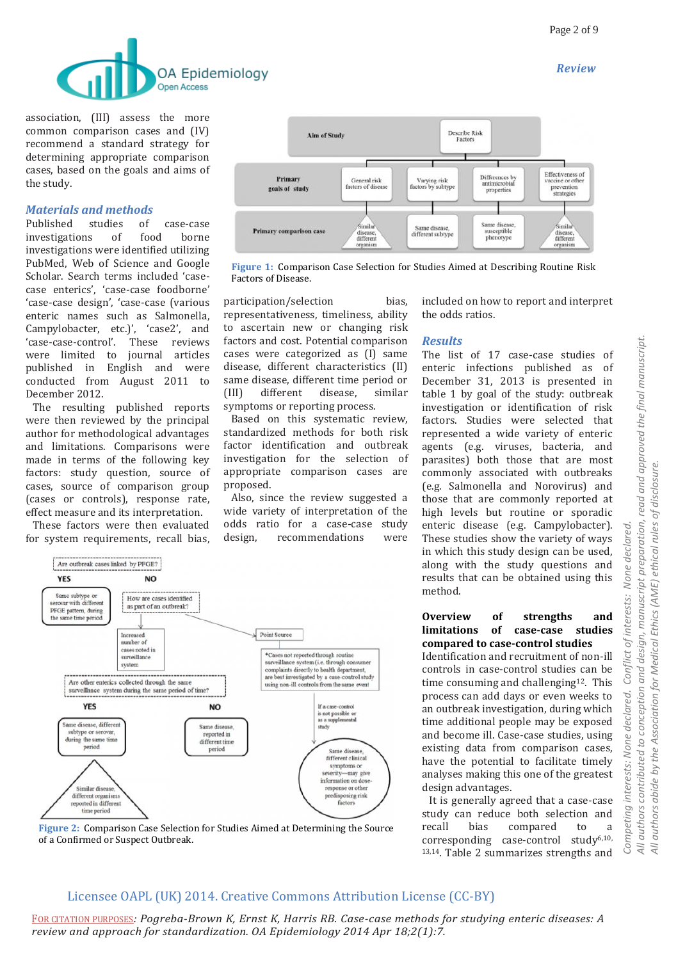

association, (III) assess the more common comparison cases and (IV) recommend a standard strategy for determining appropriate comparison cases, based on the goals and aims of the study.

# *Materials and methods*

Published studies of case-case investigations of food borne investigations were identified utilizing PubMed, Web of Science and Google Scholar. Search terms included 'casecase enterics', 'case-case foodborne' 'case-case design', 'case-case (various enteric names such as Salmonella, Campylobacter, etc.)', 'case2', and 'case-case-control'. These reviews were limited to journal articles published in English and were conducted from August 2011 to December 2012.

 The resulting published reports were then reviewed by the principal author for methodological advantages and limitations. Comparisons were made in terms of the following key factors: study question, source of cases, source of comparison group (cases or controls), response rate, effect measure and its interpretation.

 These factors were then evaluated for system requirements, recall bias,



**Figure 1:** Comparison Case Selection for Studies Aimed at Describing Routine Risk Factors of Disease.

participation/selection bias, representativeness, timeliness, ability to ascertain new or changing risk factors and cost. Potential comparison cases were categorized as (I) same disease, different characteristics (II) same disease, different time period or (III) different disease, similar symptoms or reporting process.

 Based on this systematic review, standardized methods for both risk factor identification and outbreak investigation for the selection of appropriate comparison cases are proposed.

 Also, since the review suggested a wide variety of interpretation of the odds ratio for a case-case study design, recommendations were



**Figure 2:** Comparison Case Selection for Studies Aimed at Determining the Source of a Confirmed or Suspect Outbreak.

included on how to report and interpret the odds ratios.

### *Results*

The list of 17 case-case studies of enteric infections published as of December 31, 2013 is presented in table 1 by goal of the study: outbreak investigation or identification of risk factors. Studies were selected that represented a wide variety of enteric agents (e.g. viruses, bacteria, and parasites) both those that are most commonly associated with outbreaks (e.g. Salmonella and Norovirus) and those that are commonly reported at high levels but routine or sporadic enteric disease (e.g. Campylobacter). These studies show the variety of ways in which this study design can be used, along with the study questions and results that can be obtained using this method.

### **Overview of strengths and limitations of case-case studies compared to case-control studies**

Identification and recruitment of non-ill controls in case-control studies can be time consuming and challenging $12$ . This process can add days or even weeks to an outbreak investigation, during which time additional people may be exposed and become ill. Case-case studies, using existing data from comparison cases, have the potential to facilitate timely analyses making this one of the greatest design advantages.

 It is generally agreed that a case-case study can reduce both selection and recall bias compared to a corresponding case-control study<sup>6,10,</sup> 13,14. Table 2 summarizes strengths and

# Licensee OAPL (UK) 2014. Creative Commons Attribution License (CC-BY)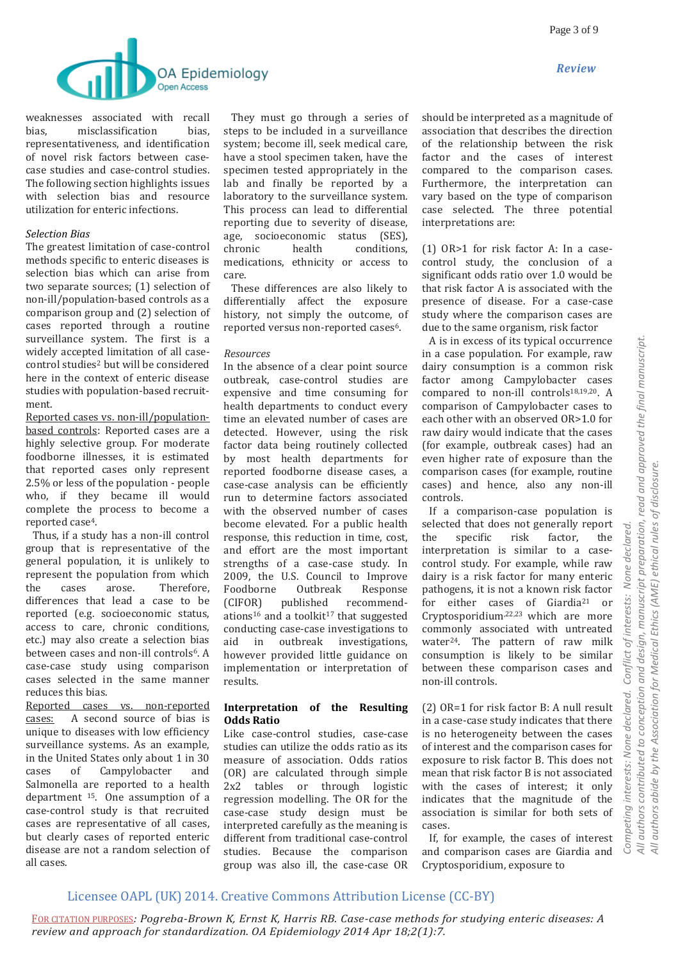



weaknesses associated with recall bias, misclassification bias, representativeness, and identification of novel risk factors between casecase studies and case-control studies. The following section highlights issues with selection bias and resource utilization for enteric infections.

# *Selection Bias*

The greatest limitation of case-control methods specific to enteric diseases is selection bias which can arise from two separate sources; (1) selection of non-ill/population-based controls as a comparison group and (2) selection of cases reported through a routine surveillance system. The first is a widely accepted limitation of all casecontrol studies<sup>2</sup> but will be considered here in the context of enteric disease studies with population-based recruitment.

Reported cases vs. non-ill/populationbased controls: Reported cases are a highly selective group. For moderate foodborne illnesses, it is estimated that reported cases only represent 2.5% or less of the population - people who, if they became ill would complete the process to become a reported case4.

 Thus, if a study has a non-ill control group that is representative of the general population, it is unlikely to represent the population from which the cases arose. Therefore, differences that lead a case to be reported (e.g. socioeconomic status, access to care, chronic conditions, etc.) may also create a selection bias between cases and non-ill controls<sup>6</sup>. A case-case study using comparison cases selected in the same manner reduces this bias.

Reported cases vs. non-reported cases: A second source of bias is unique to diseases with low efficiency surveillance systems. As an example, in the United States only about 1 in 30 cases of Campylobacter and Salmonella are reported to a health department <sup>15</sup>. One assumption of a case-control study is that recruited cases are representative of all cases, but clearly cases of reported enteric disease are not a random selection of all cases.

 They must go through a series of steps to be included in a surveillance system; become ill, seek medical care, have a stool specimen taken, have the specimen tested appropriately in the lab and finally be reported by a laboratory to the surveillance system. This process can lead to differential reporting due to severity of disease, age, socioeconomic status (SES), chronic health conditions, medications, ethnicity or access to care.

 These differences are also likely to differentially affect the exposure history, not simply the outcome, of reported versus non-reported cases6.

### *Resources*

In the absence of a clear point source outbreak, case-control studies are expensive and time consuming for health departments to conduct every time an elevated number of cases are detected. However, using the risk factor data being routinely collected by most health departments for reported foodborne disease cases, a case-case analysis can be efficiently run to determine factors associated with the observed number of cases become elevated. For a public health response, this reduction in time, cost, and effort are the most important strengths of a case-case study. In 2009, the U.S. Council to Improve Foodborne Outbreak Response (CIFOR) published recommendations<sup>16</sup> and a toolkit<sup>17</sup> that suggested conducting case-case investigations to aid in outbreak investigations, however provided little guidance on implementation or interpretation of results.

### **Interpretation of the Resulting Odds Ratio**

Like case-control studies, case-case studies can utilize the odds ratio as its measure of association. Odds ratios (OR) are calculated through simple 2x2 tables or through logistic regression modelling. The OR for the case-case study design must be interpreted carefully as the meaning is different from traditional case-control studies. Because the comparison group was also ill, the case-case OR should be interpreted as a magnitude of association that describes the direction of the relationship between the risk factor and the cases of interest compared to the comparison cases. Furthermore, the interpretation can vary based on the type of comparison case selected. The three potential interpretations are:

(1) OR>1 for risk factor A: In a casecontrol study, the conclusion of a significant odds ratio over 1.0 would be that risk factor A is associated with the presence of disease. For a case-case study where the comparison cases are due to the same organism, risk factor

 A is in excess of its typical occurrence in a case population. For example, raw dairy consumption is a common risk factor among Campylobacter cases compared to non-ill controls $18,19,20$ . A comparison of Campylobacter cases to each other with an observed OR>1.0 for raw dairy would indicate that the cases (for example, outbreak cases) had an even higher rate of exposure than the comparison cases (for example, routine cases) and hence, also any non-ill controls.

 If a comparison-case population is selected that does not generally report the specific risk factor, the interpretation is similar to a casecontrol study. For example, while raw dairy is a risk factor for many enteric pathogens, it is not a known risk factor for either cases of Giardia<sup>21</sup> or Cryptosporidium,22,23 which are more commonly associated with untreated water24. The pattern of raw milk consumption is likely to be similar between these comparison cases and non-ill controls.

(2) OR=1 for risk factor B: A null result in a case-case study indicates that there is no heterogeneity between the cases of interest and the comparison cases for exposure to risk factor B. This does not mean that risk factor B is not associated with the cases of interest; it only indicates that the magnitude of the association is similar for both sets of cases.

 If, for example, the cases of interest and comparison cases are Giardia and Cryptosporidium, exposure to

# Licensee OAPL (UK) 2014. Creative Commons Attribution License (CC-BY)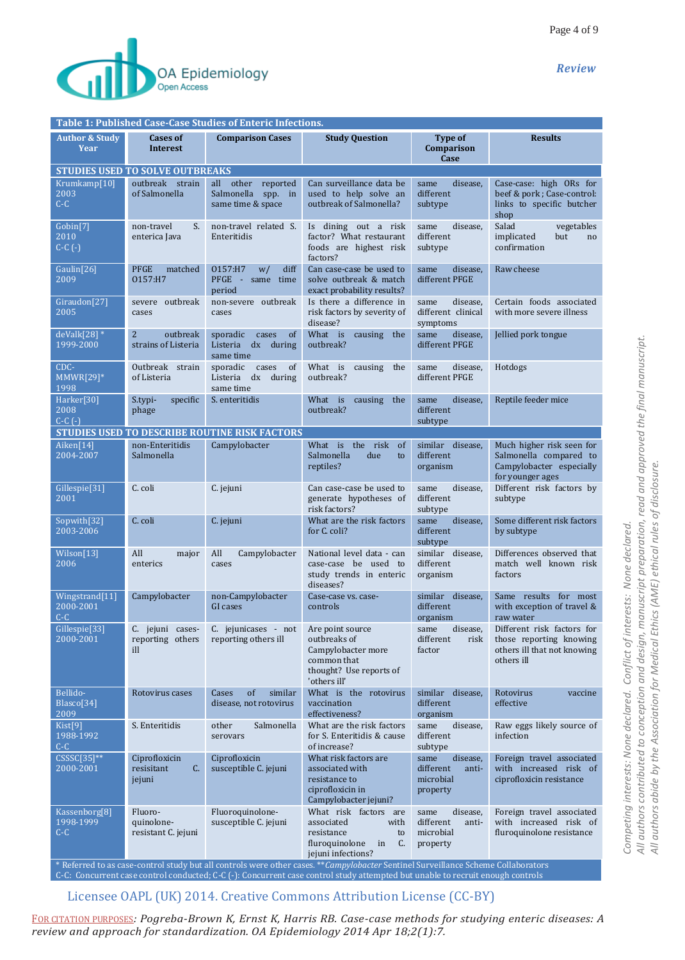

| Table 1: Published Case-Case Studies of Enteric Infections. |                                                   |                                                                        |                                                                                                                     |                                                                 |                                                                                                     |  |  |  |
|-------------------------------------------------------------|---------------------------------------------------|------------------------------------------------------------------------|---------------------------------------------------------------------------------------------------------------------|-----------------------------------------------------------------|-----------------------------------------------------------------------------------------------------|--|--|--|
| <b>Author &amp; Study</b><br>Year                           | <b>Cases of</b><br><b>Interest</b>                | <b>Comparison Cases</b>                                                | <b>Study Question</b>                                                                                               | Type of<br>Comparison<br>Case                                   | <b>Results</b>                                                                                      |  |  |  |
| <b>STUDIES USED TO SOLVE OUTBREAKS</b>                      |                                                   |                                                                        |                                                                                                                     |                                                                 |                                                                                                     |  |  |  |
| Krumkamp[10]<br>2003<br>$C-C$                               | outbreak strain<br>of Salmonella                  | other<br>reported<br>all<br>Salmonella<br>spp. in<br>same time & space | Can surveillance data be<br>used to help solve an<br>outbreak of Salmonella?                                        | same<br>disease.<br>different<br>subtype                        | Case-case: high ORs for<br>beef & pork; Case-control:<br>links to specific butcher<br>shop          |  |  |  |
| Gobin[7]<br>2010<br>$C-C$ $(-)$                             | S.<br>non-travel<br>enterica Java                 | non-travel related S.<br>Enteritidis                                   | dining out a risk<br>Is -<br>factor? What restaurant<br>foods are highest risk<br>factors?                          | disease,<br>same<br>different<br>subtype                        | Salad<br>vegetables<br>implicated<br>but<br>no<br>confirmation                                      |  |  |  |
| Gaulin[26]<br>2009                                          | <b>PFGE</b><br>matched<br>0157:H7                 | 0157:H7<br>diff<br>W/<br>PFGE - same time<br>period                    | Can case-case be used to<br>solve outbreak & match<br>exact probability results?                                    | disease.<br>same<br>different PFGE                              | Raw cheese                                                                                          |  |  |  |
| Giraudon[27]<br>2005                                        | severe outbreak<br>cases                          | non-severe outbreak<br>cases                                           | Is there a difference in<br>risk factors by severity of<br>disease?                                                 | disease,<br>same<br>different clinical<br>symptoms              | Certain foods associated<br>with more severe illness                                                |  |  |  |
| $deValk[28]*$<br>1999-2000                                  | $\overline{2}$<br>outbreak<br>strains of Listeria | of<br>sporadic<br>cases<br>Listeria<br>dx during<br>same time          | What is<br>causing<br>the<br>outbreak?                                                                              | same<br>disease,<br>different PFGE                              | Jellied pork tongue                                                                                 |  |  |  |
| CDC-<br>$MMWR[29]*$<br>1998                                 | Outbreak strain<br>of Listeria                    | sporadic<br>cases<br>of<br>dx during<br>Listeria<br>same time          | What is<br>causing<br>the<br>outbreak?                                                                              | same<br>disease,<br>different PFGE                              | Hotdogs                                                                                             |  |  |  |
| Harker[30]<br>2008<br>$C-C$ $(-)$                           | S.typi-<br>specific<br>phage                      | S. enteritidis                                                         | What<br>is<br>causing<br>the<br>outbreak?                                                                           | same<br>disease.<br>different<br>subtype                        | Reptile feeder mice                                                                                 |  |  |  |
|                                                             |                                                   | <b>STUDIES USED TO DESCRIBE ROUTINE RISK FACTORS</b>                   |                                                                                                                     |                                                                 |                                                                                                     |  |  |  |
| Aiken[14]<br>2004-2007                                      | non-Enteritidis<br>Salmonella                     | Campylobacter                                                          | What is<br>the risk<br><sub>of</sub><br>Salmonella<br>due<br>to<br>reptiles?                                        | similar disease,<br>different<br>organism                       | Much higher risk seen for<br>Salmonella compared to<br>Campylobacter especially<br>for younger ages |  |  |  |
| Gillespie <sup>[31]</sup><br>2001                           | C. coli                                           | C. jejuni                                                              | Can case-case be used to<br>generate hypotheses of<br>risk factors?                                                 | disease,<br>same<br>different<br>subtype                        | Different risk factors by<br>subtype                                                                |  |  |  |
| Sopwith[32]<br>2003-2006                                    | C. coli                                           | C. jejuni                                                              | What are the risk factors<br>for C. coli?                                                                           | same<br>disease.<br>different<br>subtype                        | Some different risk factors<br>by subtype                                                           |  |  |  |
| Wilson[13]<br>2006                                          | All<br>major<br>enterics                          | All<br>Campylobacter<br>cases                                          | National level data - can<br>case-case be used to<br>study trends in enteric<br>diseases?                           | similar disease,<br>different<br>organism                       | Differences observed that<br>match well known risk<br>factors                                       |  |  |  |
| Wingstrand[11]<br>2000-2001<br>$C-C$                        | Campylobacter                                     | non-Campylobacter<br>GI cases                                          | Case-case vs. case-<br>controls                                                                                     | disease.<br>similar<br>different<br>organism                    | Same results for most<br>with exception of travel &<br>raw water                                    |  |  |  |
| Gillespie <sup>[33]</sup><br>2000-2001                      | C. jejuni cases-<br>reporting others<br>ill       | C. jejunicases - not<br>reporting others ill                           | Are point source<br>outbreaks of<br>Campylobacter more<br>common that<br>thought? Use reports of<br>'others ill'    | same<br>disease,<br>different<br>risk<br>factor                 | Different risk factors for<br>those reporting knowing<br>others ill that not knowing<br>others ill  |  |  |  |
| Bellido-<br>Blasco[34]<br>2009                              | Rotovirus cases                                   | of<br>Cases<br>similar<br>disease, not rotovirus                       | What is the rotovirus<br>vaccination<br>effectiveness?                                                              | similar disease,<br>different<br>organism                       | Rotovirus<br>vaccine<br>effective                                                                   |  |  |  |
| Kist <sup>[9]</sup><br>1988-1992<br>$C-C$                   | S. Enteritidis                                    | other<br>Salmonella<br>serovars                                        | What are the risk factors<br>for S. Enteritidis & cause<br>of increase?                                             | same<br>disease,<br>different<br>subtype                        | Raw eggs likely source of<br>infection                                                              |  |  |  |
| $\overline{CSSC[35]^{**}}$<br>2000-2001                     | Ciprofloxicin<br>C.<br>resisitant<br>jejuni       | Ciprofloxicin<br>susceptible C. jejuni                                 | What risk factors are<br>associated with<br>resistance to<br>ciprofloxicin in<br>Campylobacter jejuni?              | same<br>disease,<br>different<br>anti-<br>microbial<br>property | Foreign travel associated<br>with increased risk of<br>ciprofloxicin resistance                     |  |  |  |
| Kassenborg[8]<br>1998-1999<br>$C-C$                         | Fluoro-<br>quinolone-<br>resistant C. jejuni      | Fluoroquinolone-<br>susceptible C. jejuni                              | What risk factors are<br>associated<br>with<br>resistance<br>to<br>fluroquinolone<br>C.<br>in<br>jejuni infections? | disease,<br>same<br>different<br>anti-<br>microbial<br>property | Foreign travel associated<br>with increased risk of<br>fluroquinolone resistance                    |  |  |  |

\* Referred to as case-control study but all controls were other cases. \*\**Campylobacter* Sentinel Surveillance Scheme Collaborators C-C: Concurrent case control conducted; C-C (-): Concurrent case control study attempted but unable to recruit enough controls

Licensee OAPL (UK) 2014. Creative Commons Attribution License (CC-BY)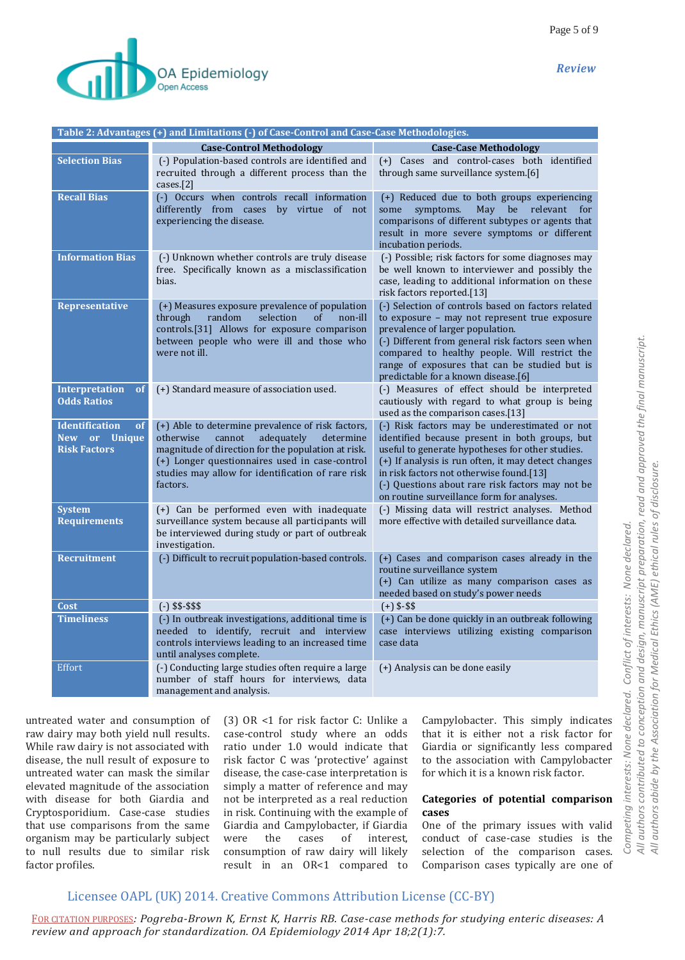

| Table 2: Advantages (+) and Limitations (-) of Case-Control and Case-Case Methodologies. |                                                                                                                                                                                                                                                                              |                                                                                                                                                                                                                                                                                                                                                          |  |  |  |  |  |
|------------------------------------------------------------------------------------------|------------------------------------------------------------------------------------------------------------------------------------------------------------------------------------------------------------------------------------------------------------------------------|----------------------------------------------------------------------------------------------------------------------------------------------------------------------------------------------------------------------------------------------------------------------------------------------------------------------------------------------------------|--|--|--|--|--|
|                                                                                          | <b>Case-Control Methodology</b>                                                                                                                                                                                                                                              | <b>Case-Case Methodology</b>                                                                                                                                                                                                                                                                                                                             |  |  |  |  |  |
| <b>Selection Bias</b>                                                                    | (-) Population-based controls are identified and<br>recruited through a different process than the<br>cases.[2]                                                                                                                                                              | (+) Cases and control-cases both identified<br>through same surveillance system.[6]                                                                                                                                                                                                                                                                      |  |  |  |  |  |
| <b>Recall Bias</b>                                                                       | (-) Occurs when controls recall information<br>differently from cases by virtue of not<br>experiencing the disease.                                                                                                                                                          | (+) Reduced due to both groups experiencing<br>be relevant<br>some<br>symptoms.<br>May<br>for<br>comparisons of different subtypes or agents that<br>result in more severe symptoms or different<br>incubation periods.                                                                                                                                  |  |  |  |  |  |
| <b>Information Bias</b>                                                                  | (-) Unknown whether controls are truly disease<br>free. Specifically known as a misclassification<br>bias.                                                                                                                                                                   | (-) Possible; risk factors for some diagnoses may<br>be well known to interviewer and possibly the<br>case, leading to additional information on these<br>risk factors reported.[13]                                                                                                                                                                     |  |  |  |  |  |
| Representative                                                                           | (+) Measures exposure prevalence of population<br>through<br>random<br>selection<br>of<br>non-ill<br>controls.[31] Allows for exposure comparison<br>between people who were ill and those who<br>were not ill.                                                              | (-) Selection of controls based on factors related<br>to exposure - may not represent true exposure<br>prevalence of larger population.<br>(-) Different from general risk factors seen when<br>compared to healthy people. Will restrict the<br>range of exposures that can be studied but is<br>predictable for a known disease.[6]                    |  |  |  |  |  |
| <b>Interpretation</b><br><b>of</b><br><b>Odds Ratios</b>                                 | (+) Standard measure of association used.                                                                                                                                                                                                                                    | (-) Measures of effect should be interpreted<br>cautiously with regard to what group is being<br>used as the comparison cases.[13]                                                                                                                                                                                                                       |  |  |  |  |  |
| <b>Identification</b><br><b>of</b><br>New or<br><b>Unique</b><br><b>Risk Factors</b>     | (+) Able to determine prevalence of risk factors,<br>otherwise<br>cannot<br>adequately<br>determine<br>magnitude of direction for the population at risk.<br>(+) Longer questionnaires used in case-control<br>studies may allow for identification of rare risk<br>factors. | (-) Risk factors may be underestimated or not<br>identified because present in both groups, but<br>useful to generate hypotheses for other studies.<br>(+) If analysis is run often, it may detect changes<br>in risk factors not otherwise found.[13]<br>(-) Questions about rare risk factors may not be<br>on routine surveillance form for analyses. |  |  |  |  |  |
| <b>System</b><br><b>Requirements</b>                                                     | (+) Can be performed even with inadequate<br>surveillance system because all participants will<br>be interviewed during study or part of outbreak<br>investigation.                                                                                                          | (-) Missing data will restrict analyses. Method<br>more effective with detailed surveillance data.                                                                                                                                                                                                                                                       |  |  |  |  |  |
| <b>Recruitment</b>                                                                       | (-) Difficult to recruit population-based controls.                                                                                                                                                                                                                          | (+) Cases and comparison cases already in the<br>routine surveillance system<br>(+) Can utilize as many comparison cases as<br>needed based on study's power needs                                                                                                                                                                                       |  |  |  |  |  |
| Cost                                                                                     | $(-)$ \$\$-\$\$\$                                                                                                                                                                                                                                                            | $(+)$ \$-\$\$                                                                                                                                                                                                                                                                                                                                            |  |  |  |  |  |
| <b>Timeliness</b>                                                                        | (-) In outbreak investigations, additional time is<br>needed to identify, recruit and interview<br>controls interviews leading to an increased time<br>until analyses complete.                                                                                              | (+) Can be done quickly in an outbreak following<br>case interviews utilizing existing comparison<br>case data                                                                                                                                                                                                                                           |  |  |  |  |  |
| Effort                                                                                   | (-) Conducting large studies often require a large<br>number of staff hours for interviews, data<br>management and analysis.                                                                                                                                                 | (+) Analysis can be done easily                                                                                                                                                                                                                                                                                                                          |  |  |  |  |  |

untreated water and consumption of raw dairy may both yield null results. While raw dairy is not associated with disease, the null result of exposure to untreated water can mask the similar elevated magnitude of the association with disease for both Giardia and Cryptosporidium. Case-case studies that use comparisons from the same organism may be particularly subject to null results due to similar risk factor profiles.

(3) OR <1 for risk factor C: Unlike a case-control study where an odds ratio under 1.0 would indicate that risk factor C was 'protective' against disease, the case-case interpretation is simply a matter of reference and may not be interpreted as a real reduction in risk. Continuing with the example of Giardia and Campylobacter, if Giardia were the cases of interest, consumption of raw dairy will likely result in an OR<1 compared to

Campylobacter. This simply indicates that it is either not a risk factor for Giardia or significantly less compared to the association with Campylobacter for which it is a known risk factor.

#### **Categories of potential comparison cases**

One of the primary issues with valid conduct of case-case studies is the selection of the comparison cases. Comparison cases typically are one of

# Licensee OAPL (UK) 2014. Creative Commons Attribution License (CC-BY)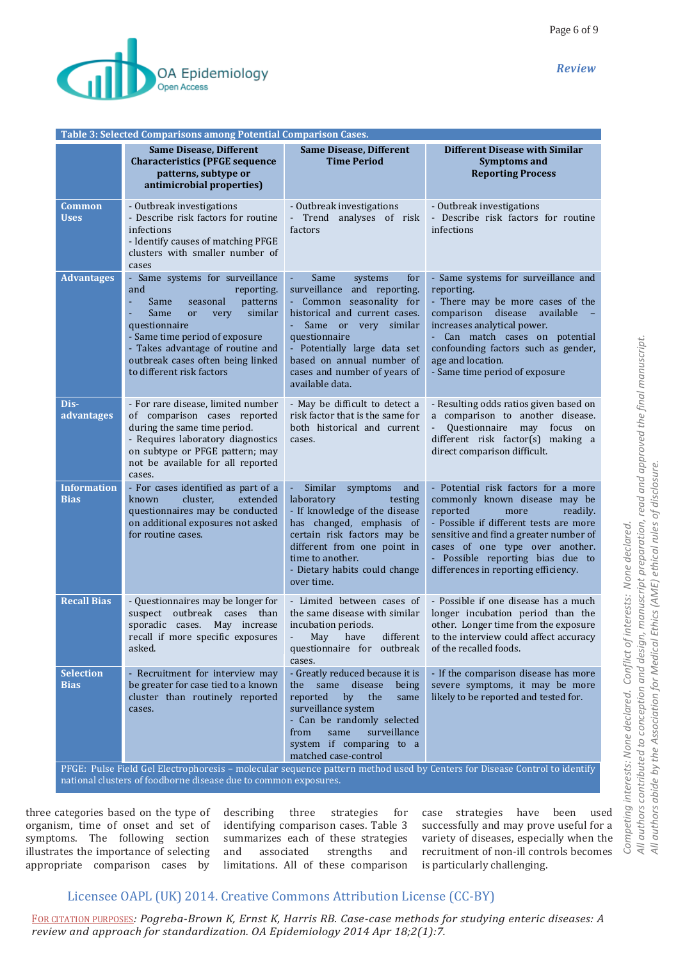

| Table 3: Selected Comparisons among Potential Comparison Cases.                                                                                                                              |                                                                                                                                                                                                                                                                                                 |                                                                                                                                                                                                                                                                                                 |                                                                                                                                                                                                                                                                                                         |  |  |  |  |
|----------------------------------------------------------------------------------------------------------------------------------------------------------------------------------------------|-------------------------------------------------------------------------------------------------------------------------------------------------------------------------------------------------------------------------------------------------------------------------------------------------|-------------------------------------------------------------------------------------------------------------------------------------------------------------------------------------------------------------------------------------------------------------------------------------------------|---------------------------------------------------------------------------------------------------------------------------------------------------------------------------------------------------------------------------------------------------------------------------------------------------------|--|--|--|--|
|                                                                                                                                                                                              | <b>Same Disease, Different</b><br><b>Characteristics (PFGE sequence</b><br>patterns, subtype or<br>antimicrobial properties)                                                                                                                                                                    | <b>Same Disease, Different</b><br><b>Time Period</b>                                                                                                                                                                                                                                            | <b>Different Disease with Similar</b><br><b>Symptoms and</b><br><b>Reporting Process</b>                                                                                                                                                                                                                |  |  |  |  |
| <b>Common</b><br><b>Uses</b>                                                                                                                                                                 | - Outbreak investigations<br>- Describe risk factors for routine<br>infections<br>- Identify causes of matching PFGE<br>clusters with smaller number of<br>cases                                                                                                                                | - Outbreak investigations<br>- Trend analyses of risk<br>factors                                                                                                                                                                                                                                | - Outbreak investigations<br>- Describe risk factors for routine<br>infections                                                                                                                                                                                                                          |  |  |  |  |
| <b>Advantages</b>                                                                                                                                                                            | - Same systems for surveillance<br>and<br>reporting.<br>Same<br>patterns<br>ä,<br>seasonal<br>Same<br>similar<br>very<br><sub>or</sub><br>questionnaire<br>- Same time period of exposure<br>- Takes advantage of routine and<br>outbreak cases often being linked<br>to different risk factors | Same<br>systems<br>for<br>surveillance and reporting.<br>- Common seasonality for<br>historical and current cases.<br>Same<br><sub>or</sub><br>very<br>similar<br>questionnaire<br>- Potentially large data set<br>based on annual number of<br>cases and number of years of<br>available data. | - Same systems for surveillance and<br>reporting.<br>- There may be more cases of the<br>disease<br>comparison<br>available<br>increases analytical power.<br>- Can match cases on potential<br>confounding factors such as gender,<br>age and location.<br>- Same time period of exposure              |  |  |  |  |
| Dis-<br>advantages                                                                                                                                                                           | - For rare disease, limited number<br>of comparison cases reported<br>during the same time period.<br>- Requires laboratory diagnostics<br>on subtype or PFGE pattern; may<br>not be available for all reported<br>cases.                                                                       | - May be difficult to detect a<br>risk factor that is the same for<br>both historical and current<br>cases.                                                                                                                                                                                     | - Resulting odds ratios given based on<br>a comparison to another disease.<br>Questionnaire<br>may<br>focus<br>on<br>different risk factor(s) making a<br>direct comparison difficult.                                                                                                                  |  |  |  |  |
| <b>Information</b><br><b>Bias</b>                                                                                                                                                            | - For cases identified as part of a<br>cluster,<br>extended<br>known<br>questionnaires may be conducted<br>on additional exposures not asked<br>for routine cases.                                                                                                                              | Similar<br>symptoms<br>÷,<br>and<br>laboratory<br>testing<br>- If knowledge of the disease<br>has changed, emphasis of<br>certain risk factors may be<br>different from one point in<br>time to another.<br>- Dietary habits could change<br>over time.                                         | - Potential risk factors for a more<br>commonly known disease may be<br>reported<br>readily.<br>more<br>- Possible if different tests are more<br>sensitive and find a greater number of<br>cases of one type over another.<br>- Possible reporting bias due to<br>differences in reporting efficiency. |  |  |  |  |
| <b>Recall Bias</b>                                                                                                                                                                           | - Questionnaires may be longer for<br>outbreak cases than<br>suspect<br>sporadic cases. May increase<br>recall if more specific exposures<br>asked.                                                                                                                                             | - Limited between cases of<br>the same disease with similar<br>incubation periods.<br>have<br>May<br>different<br>questionnaire for<br>outbreak<br>cases.                                                                                                                                       | - Possible if one disease has a much<br>longer incubation period than the<br>other. Longer time from the exposure<br>to the interview could affect accuracy<br>of the recalled foods.                                                                                                                   |  |  |  |  |
| <b>Selection</b><br><b>Bias</b>                                                                                                                                                              | - Recruitment for interview may<br>be greater for case tied to a known<br>cluster than routinely reported<br>cases.                                                                                                                                                                             | - Greatly reduced because it is<br>same<br>disease<br>the<br>being<br>the<br>reported<br>by<br>same<br>surveillance system<br>- Can be randomly selected<br>from<br>surveillance<br>same<br>system if comparing to a<br>matched case-control                                                    | - If the comparison disease has more<br>severe symptoms, it may be more<br>likely to be reported and tested for.                                                                                                                                                                                        |  |  |  |  |
| PFGE: Pulse Field Gel Electrophoresis - molecular sequence pattern method used by Centers for Disease Control to identify<br>national clusters of foodborne disease due to common exposures. |                                                                                                                                                                                                                                                                                                 |                                                                                                                                                                                                                                                                                                 |                                                                                                                                                                                                                                                                                                         |  |  |  |  |

three categories based on the type of organism, time of onset and set of

symptoms. The following section illustrates the importance of selecting appropriate comparison cases by describing three strategies for identifying comparison cases. Table 3 summarizes each of these strategies and associated strengths and limitations. All of these comparison case strategies have been used successfully and may prove useful for a variety of diseases, especially when the recruitment of non-ill controls becomes is particularly challenging.

# Licensee OAPL (UK) 2014. Creative Commons Attribution License (CC-BY)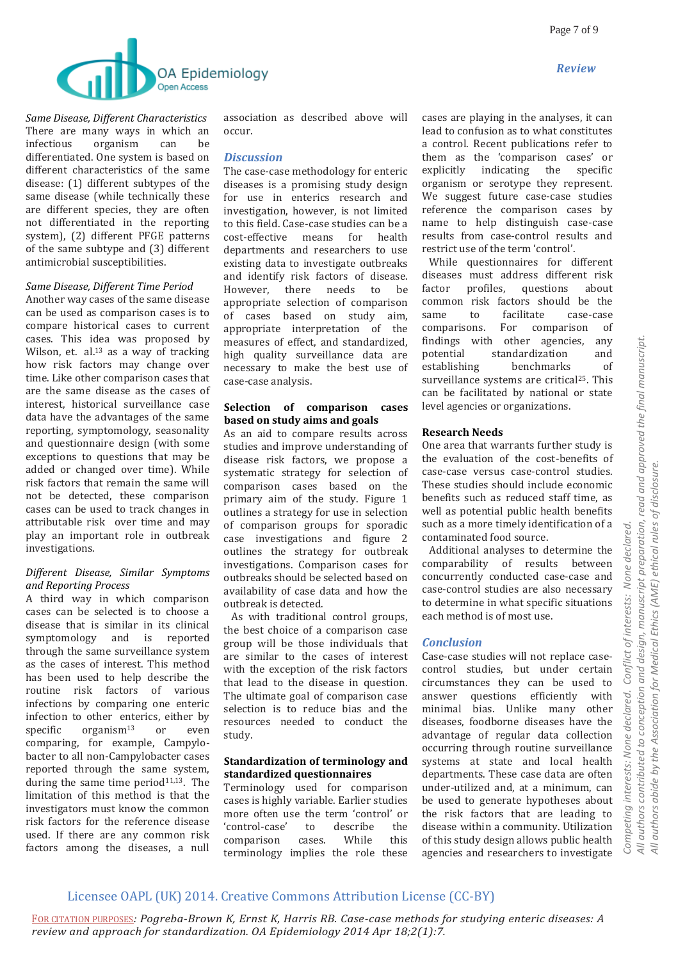



*Same Disease, Different Characteristics* There are many ways in which an infectious organism can be differentiated. One system is based on different characteristics of the same disease: (1) different subtypes of the same disease (while technically these are different species, they are often not differentiated in the reporting system), (2) different PFGE patterns of the same subtype and (3) different antimicrobial susceptibilities.

#### *Same Disease, Different Time Period*

Another way cases of the same disease can be used as comparison cases is to compare historical cases to current cases. This idea was proposed by Wilson, et. al.<sup>13</sup> as a way of tracking how risk factors may change over time. Like other comparison cases that are the same disease as the cases of interest, historical surveillance case data have the advantages of the same reporting, symptomology, seasonality and questionnaire design (with some exceptions to questions that may be added or changed over time). While risk factors that remain the same will not be detected, these comparison cases can be used to track changes in attributable risk over time and may play an important role in outbreak investigations.

#### *Different Disease, Similar Symptoms and Reporting Process*

A third way in which comparison cases can be selected is to choose a disease that is similar in its clinical symptomology and is reported through the same surveillance system as the cases of interest. This method has been used to help describe the routine risk factors of various infections by comparing one enteric infection to other enterics, either by specific  $organism<sup>13</sup>$  or even comparing, for example, Campylobacter to all non-Campylobacter cases reported through the same system, during the same time period $11,13$ . The limitation of this method is that the investigators must know the common risk factors for the reference disease used. If there are any common risk factors among the diseases, a null

association as described above will occur.

#### *Discussion*

The case-case methodology for enteric diseases is a promising study design for use in enterics research and investigation, however, is not limited to this field. Case-case studies can be a cost-effective means for health departments and researchers to use existing data to investigate outbreaks and identify risk factors of disease. However, there needs to be appropriate selection of comparison of cases based on study aim, appropriate interpretation of the measures of effect, and standardized, high quality surveillance data are necessary to make the best use of case-case analysis.

#### **Selection of comparison cases based on study aims and goals**

As an aid to compare results across studies and improve understanding of disease risk factors, we propose a systematic strategy for selection of comparison cases based on the primary aim of the study. Figure 1 outlines a strategy for use in selection of comparison groups for sporadic case investigations and figure 2 outlines the strategy for outbreak investigations. Comparison cases for outbreaks should be selected based on availability of case data and how the outbreak is detected.

 As with traditional control groups, the best choice of a comparison case group will be those individuals that are similar to the cases of interest with the exception of the risk factors that lead to the disease in question. The ultimate goal of comparison case selection is to reduce bias and the resources needed to conduct the study.

#### **Standardization of terminology and standardized questionnaires**

Terminology used for comparison cases is highly variable. Earlier studies more often use the term 'control' or 'control-case' to describe the comparison cases. While this terminology implies the role these cases are playing in the analyses, it can lead to confusion as to what constitutes a control. Recent publications refer to them as the 'comparison cases' or explicitly indicating the specific organism or serotype they represent. We suggest future case-case studies reference the comparison cases by name to help distinguish case-case results from case-control results and restrict use of the term 'control'.

 While questionnaires for different diseases must address different risk factor profiles, questions about common risk factors should be the same to facilitate case-case comparisons. For comparison of findings with other agencies, any potential standardization and establishing benchmarks of surveillance systems are critical<sup>25</sup>. This can be facilitated by national or state level agencies or organizations.

#### **Research Needs**

One area that warrants further study is the evaluation of the cost-benefits of case-case versus case-control studies. These studies should include economic benefits such as reduced staff time, as well as potential public health benefits such as a more timely identification of a contaminated food source.

 Additional analyses to determine the comparability of results between concurrently conducted case-case and case-control studies are also necessary to determine in what specific situations each method is of most use.

#### *Conclusion*

Case-case studies will not replace casecontrol studies, but under certain circumstances they can be used to answer questions efficiently with minimal bias. Unlike many other diseases, foodborne diseases have the advantage of regular data collection occurring through routine surveillance systems at state and local health departments. These case data are often under-utilized and, at a minimum, can be used to generate hypotheses about the risk factors that are leading to disease within a community. Utilization of this study design allows public health agencies and researchers to investigate

# Licensee OAPL (UK) 2014. Creative Commons Attribution License (CC-BY)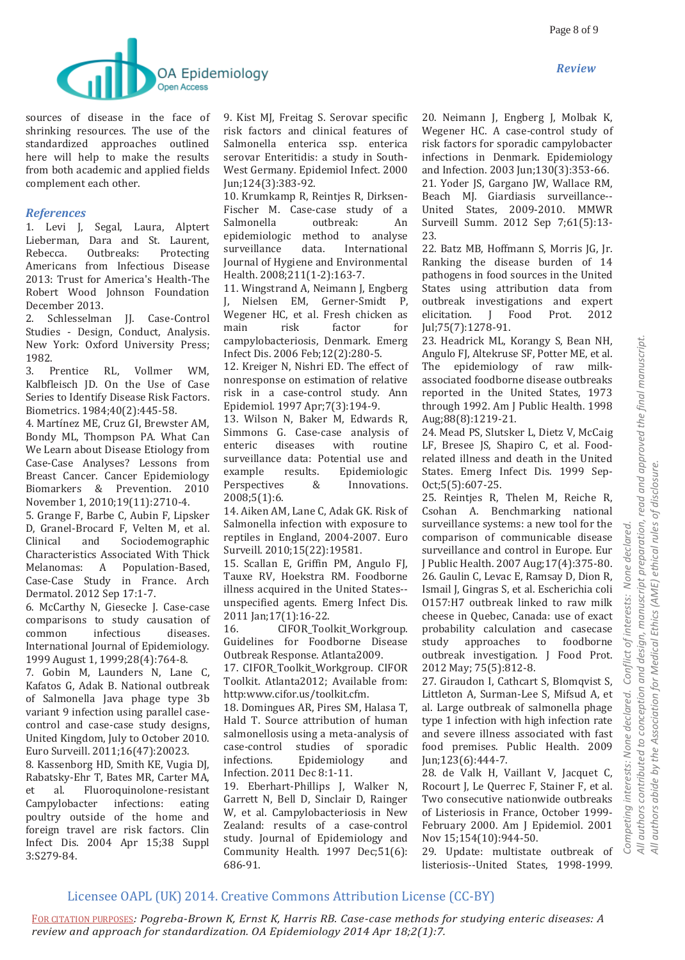

sources of disease in the face of shrinking resources. The use of the standardized approaches outlined here will help to make the results from both academic and applied fields complement each other.

### *References*

1. Levi J, Segal, Laura, Alptert Lieberman, Dara and St. Laurent, Rebecca. Outbreaks: Protecting Americans from Infectious Disease 2013: Trust for America's Health-The Robert Wood Johnson Foundation December 2013.

2. Schlesselman JJ. Case-Control Studies - Design, Conduct, Analysis. New York: Oxford University Press; 1982.

3. Prentice RL, Vollmer WM, Kalbfleisch JD. On the Use of Case Series to Identify Disease Risk Factors. Biometrics. 1984;40(2):445-58.

4. Martínez ME, Cruz GI, Brewster AM, Bondy ML, Thompson PA. What Can We Learn about Disease Etiology from Case-Case Analyses? Lessons from Breast Cancer. Cancer Epidemiology Biomarkers & Prevention. 2010 November 1, 2010;19(11):2710-4.

5. Grange F, Barbe C, Aubin F, Lipsker D, Granel-Brocard F, Velten M, et al. Clinical and Sociodemographic Characteristics Associated With Thick Melanomas: A Population-Based, Case-Case Study in France. Arch Dermatol. 2012 Sep 17:1-7.

6. McCarthy N, Giesecke J. Case-case comparisons to study causation of common infectious diseases. International Journal of Epidemiology. 1999 August 1, 1999;28(4):764-8.

7. Gobin M, Launders N, Lane C, Kafatos G, Adak B. National outbreak of Salmonella Java phage type 3b variant 9 infection using parallel casecontrol and case-case study designs, United Kingdom, July to October 2010. Euro Surveill. 2011;16(47):20023.

8. Kassenborg HD, Smith KE, Vugia DJ, Rabatsky-Ehr T, Bates MR, Carter MA, et al. Fluoroquinolone-resistant Campylobacter infections: eating poultry outside of the home and foreign travel are risk factors. Clin Infect Dis. 2004 Apr 15;38 Suppl 3:S279-84.

9. Kist MJ, Freitag S. Serovar specific risk factors and clinical features of Salmonella enterica ssp. enterica serovar Enteritidis: a study in South-West Germany. Epidemiol Infect. 2000 Jun;124(3):383-92.

10. Krumkamp R, Reintjes R, Dirksen-Fischer M. Case-case study of a Salmonella outbreak: An epidemiologic method to analyse surveillance data. International Journal of Hygiene and Environmental Health. 2008;211(1-2):163-7.

11. Wingstrand A, Neimann J, Engberg J, Nielsen EM, Gerner-Smidt P, Wegener HC, et al. Fresh chicken as main risk factor for campylobacteriosis, Denmark. Emerg Infect Dis. 2006 Feb;12(2):280-5.

12. Kreiger N, Nishri ED. The effect of nonresponse on estimation of relative risk in a case-control study. Ann Epidemiol. 1997 Apr;7(3):194-9.

13. Wilson N, Baker M, Edwards R, Simmons G. Case-case analysis of enteric diseases with routine surveillance data: Potential use and example results. Epidemiologic Perspectives & Innovations. 2008;5(1):6.

14. Aiken AM, Lane C, Adak GK. Risk of Salmonella infection with exposure to reptiles in England, 2004-2007. Euro Surveill. 2010;15(22):19581.

15. Scallan E, Griffin PM, Angulo FJ, Tauxe RV, Hoekstra RM. Foodborne illness acquired in the United States- unspecified agents. Emerg Infect Dis. 2011 Jan;17(1):16-22.

16. CIFOR\_Toolkit\_Workgroup. Guidelines for Foodborne Disease Outbreak Response. Atlanta2009.

17. CIFOR\_Toolkit\_Workgroup. CIFOR Toolkit. Atlanta2012; Available from: http:www.cifor.us/toolkit.cfm.

18. Domingues AR, Pires SM, Halasa T, Hald T. Source attribution of human salmonellosis using a meta-analysis of case-control studies of sporadic infections. Epidemiology and Infection. 2011 Dec 8:1-11.

19. Eberhart-Phillips J, Walker N, Garrett N, Bell D, Sinclair D, Rainger W, et al. Campylobacteriosis in New Zealand: results of a case-control study. Journal of Epidemiology and Community Health. 1997 Dec;51(6): 686-91.

20. Neimann J, Engberg J, Molbak K, Wegener HC. A case-control study of risk factors for sporadic campylobacter infections in Denmark. Epidemiology and Infection. 2003 Jun;130(3):353-66. 21. Yoder JS, Gargano JW, Wallace RM, Beach MJ. Giardiasis surveillance-- United States, 2009-2010. MMWR Surveill Summ. 2012 Sep 7;61(5):13- 23.

22. Batz MB, Hoffmann S, Morris JG, Jr. Ranking the disease burden of 14 pathogens in food sources in the United States using attribution data from outbreak investigations and expert elicitation. J Food Prot. 2012 Jul;75(7):1278-91.

23. Headrick ML, Korangy S, Bean NH, Angulo FJ, Altekruse SF, Potter ME, et al. The epidemiology of raw milkassociated foodborne disease outbreaks reported in the United States, 1973 through 1992. Am J Public Health. 1998 Aug;88(8):1219-21.

24. Mead PS, Slutsker L, Dietz V, McCaig LF, Bresee JS, Shapiro C, et al. Foodrelated illness and death in the United States. Emerg Infect Dis. 1999 Sep-Oct;5(5):607-25.

25. Reintjes R, Thelen M, Reiche R, Csohan A. Benchmarking national surveillance systems: a new tool for the comparison of communicable disease surveillance and control in Europe. Eur J Public Health. 2007 Aug;17(4):375-80. 26. Gaulin C, Levac E, Ramsay D, Dion R, Ismail J, Gingras S, et al. Escherichia coli O157:H7 outbreak linked to raw milk cheese in Quebec, Canada: use of exact probability calculation and casecase study approaches to foodborne outbreak investigation. J Food Prot. 2012 May; 75(5):812-8.

27. Giraudon I, Cathcart S, Blomqvist S, Littleton A, Surman-Lee S, Mifsud A, et al. Large outbreak of salmonella phage type 1 infection with high infection rate and severe illness associated with fast food premises. Public Health. 2009 Jun;123(6):444-7.

28. de Valk H, Vaillant V, Jacquet C, Rocourt J, Le Querrec F, Stainer F, et al. Two consecutive nationwide outbreaks of Listeriosis in France, October 1999- February 2000. Am J Epidemiol. 2001 Nov 15;154(10):944-50.

29. Update: multistate outbreak of listeriosis--United States, 1998-1999.

# Licensee OAPL (UK) 2014. Creative Commons Attribution License (CC-BY)